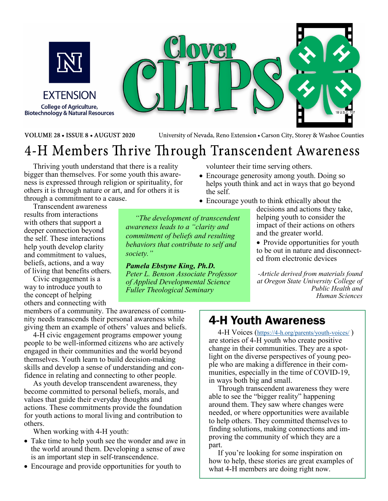

**FXTENSION College of Agriculture, Biotechnology & Natural Resources** 



VOLUME 28 . ISSUE 8 . AUGUST 2020

University of Nevada, Reno Extension . Carson City, Storey & Washoe Counties

# 4-H Members Thrive Through Transcendent Awareness

Thriving youth understand that there is a reality bigger than themselves. For some youth this awareness is expressed through religion or spirituality, for others it is through nature or art, and for others it is through a commitment to a cause.

Transcendent awareness

results from interactions with others that support a deeper connection beyond the self. These interactions help youth develop clarity and commitment to values, beliefs, actions, and a way of living that benefits others.

Civic engagement is a way to introduce youth to the concept of helping others and connecting with

members of a community. The awareness of community needs transcends their personal awareness while giving them an example of others' values and beliefs.

4‑H civic engagement programs empower young people to be well-informed citizens who are actively engaged in their communities and the world beyond themselves. Youth learn to build decision-making skills and develop a sense of understanding and confidence in relating and connecting to other people.

As youth develop transcendent awareness, they become committed to personal beliefs, morals, and values that guide their everyday thoughts and actions. These commitments provide the foundation for youth actions to moral living and contribution to others.

When working with 4-H youth:

- Take time to help youth see the wonder and awe in the world around them. Developing a sense of awe is an important step in self-transcendence.
- Encourage and provide opportunities for youth to

volunteer their time serving others.

- Encourage generosity among youth. Doing so helps youth think and act in ways that go beyond the self.
- Encourage youth to think ethically about the

*"The development of transcendent awareness leads to a "clarity and commitment of beliefs and resulting behaviors that contribute to self and society."* 

*Pamela Ebstyne King, Ph.D. Peter L. Benson Associate Professor of Applied Developmental Science Fuller Theological Seminary* 

decisions and actions they take, helping youth to consider the impact of their actions on others and the greater world.

• Provide opportunities for youth to be out in nature and disconnected from electronic devices

*-Article derived from materials found at Oregon State University College of Public Health and Human Sciences*

### 4-H Youth Awareness

4-H Voices (https://4-h.org/parents/youth-voices/ ) are stories of 4-H youth who create positive change in their communities. They are a spotlight on the diverse perspectives of young people who are making a difference in their communities, especially in the time of COVID-19, in ways both big and small.

Through transcendent awareness they were able to see the "bigger reality" happening around them. They saw where changes were needed, or where opportunities were available to help others. They committed themselves to finding solutions, making connections and improving the community of which they are a part.

If you're looking for some inspiration on how to help, these stories are great examples of what 4-H members are doing right now.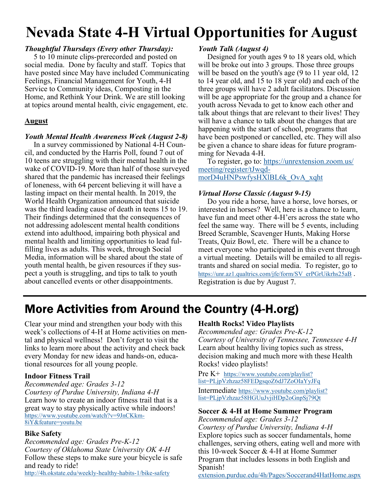# **Nevada State 4-H Virtual Opportunities for August**

#### *Thoughtful Thursdays (Every other Thursday):*

5 to 10 minute clips-prerecorded and posted on social media. Done by faculty and staff. Topics that have posted since May have included Communicating Feelings, Financial Management for Youth, 4-H Service to Community ideas, Composting in the Home, and Rethink Your Drink. We are still looking at topics around mental health, civic engagement, etc.

#### **August**

#### *Youth Mental Health Awareness Week (August 2-8)*

In a survey commissioned by National 4-H Council, and conducted by the Harris Poll, found 7 out of 10 teens are struggling with their mental health in the wake of COVID-19. More than half of those surveyed shared that the pandemic has increased their feelings of loneness, with 64 percent believing it will have a lasting impact on their mental health. In 2019, the World Health Organization announced that suicide was the third leading cause of death in teens 15 to 19. Their findings determined that the consequences of not addressing adolescent mental health conditions extend into adulthood, impairing both physical and mental health and limiting opportunities to lead fulfilling lives as adults. This week, through Social Media, information will be shared about the state of youth mental health, be given resources if they suspect a youth is struggling, and tips to talk to youth about cancelled events or other disappointments.

#### *Youth Talk (August 4)*

Designed for youth ages 9 to 18 years old, which will be broke out into 3 groups. Those three groups will be based on the youth's age (9 to 11 year old, 12 to 14 year old, and 15 to 18 year old) and each of the three groups will have 2 adult facilitators. Discussion will be age appropriate for the group and a chance for youth across Nevada to get to know each other and talk about things that are relevant to their lives! They will have a chance to talk about the changes that are happening with the start of school, programs that have been postponed or cancelled, etc. They will also be given a chance to share ideas for future programming for Nevada 4-H.

To register, go to: https://unrextension.zoom.us/ meeting/register/tJwqdmorD4uHNPswfysHXlBL6k\_OvA\_xqht

#### *Virtual Horse Classic (August 9-15)*

Do you ride a horse, have a horse, love horses, or interested in horses? Well, here is a chance to learn, have fun and meet other 4-H'ers across the state who feel the same way. There will be 5 events, including Breed Scramble, Scavenger Hunts, Making Horse Treats, Quiz Bowl, etc. There will be a chance to meet everyone who participated in this event through a virtual meeting. Details will be emailed to all registrants and shared on social media. To register, go to https://unr.az1.qualtrics.com/jfe/form/SV\_erPGrUikrhs25aB. Registration is due by August 7.

# More Activities from Around the Country (4-H.org)

Clear your mind and strengthen your body with this week's collections of 4‑H at Home activities on mental and physical wellness! Don't forget to visit the links to learn more about the activity and check back every Monday for new ideas and hands-on, educational resources for all young people.

#### **Indoor Fitness Trail**

*Recommended age: Grades 3-12 Courtesy of Purdue University, Indiana 4‑H* Learn how to create an indoor fitness trail that is a great way to stay physically active while indoors! https://www.youtube.com/watch?v=9JnCKkm-8iY&feature=youtu.be

#### **Bike Safety**

*Recommended age: Grades Pre-K-12 Courtesy of Oklahoma State University OK 4‑H* Follow these steps to make sure your bicycle is safe and ready to ride! http://4h.okstate.edu/weekly-healthy-habits-1/bike-safety

#### **Health Rocks! Video Playlists**

*Recommended age: Grades Pre-K-12 Courtesy of University of Tennessee, Tennessee 4‑H* Learn about healthy living topics such as stress, decision making and much more with these Health Rocks! video playlists!

#### Pre K<sup>+</sup> https://www.youtube.com/playlist? list=PLjpVzhzaz58FEDgsqoZ6dJ7ZoOIaYyJFq

Intermediate https://www.youtube.com/playlist? list=PLjpVzhzaz58HGUuJvjiHDp2oGnpSj79Qt

#### **Soccer & 4‑H at Home Summer Program**

*Recommended age: Grades 3-12*

*Courtesy of Purdue University, Indiana 4‑H* Explore topics such as soccer fundamentals, home challenges, serving others, eating well and more with this 10-week Soccer & 4‑H at Home Summer Program that includes lessons in both English and Spanish!

extension.purdue.edu/4h/Pages/Soccerand4HatHome.aspx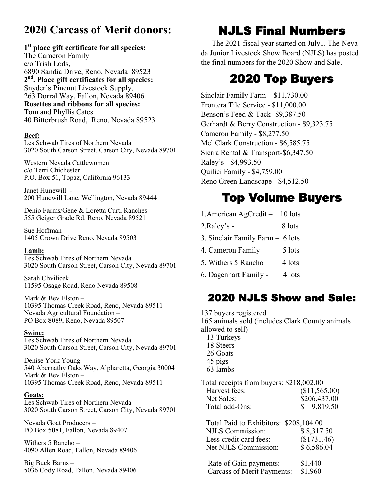### **2020 Carcass of Merit donors:**

#### **1 st place gift certificate for all species:**

The Cameron Family c/o Trish Lods, 6890 Sandia Drive, Reno, Nevada 89523 **2 nd. Place gift certificates for all species:** Snyder's Pinenut Livestock Supply, 263 Dorral Way, Fallon, Nevada 89406 **Rosettes and ribbons for all species:** Tom and Phyllis Cates 40 Bitterbrush Road, Reno, Nevada 89523

#### **Beef:**

Les Schwab Tires of Northern Nevada 3020 South Carson Street, Carson City, Nevada 89701

Western Nevada Cattlewomen c/o Terri Chichester P.O. Box 51, Topaz, California 96133

Janet Hunewill - 200 Hunewill Lane, Wellington, Nevada 89444

Denio Farms/Gene & Loretta Curti Ranches – 555 Geiger Grade Rd. Reno, Nevada 89521

Sue Hoffman – 1405 Crown Drive Reno, Nevada 89503

#### **Lamb:**

Les Schwab Tires of Northern Nevada 3020 South Carson Street, Carson City, Nevada 89701

Sarah Chvilicek 11595 Osage Road, Reno Nevada 89508

Mark & Bev Elston – 10395 Thomas Creek Road, Reno, Nevada 89511 Nevada Agricultural Foundation – PO Box 8089, Reno, Nevada 89507

#### **Swine:**

Les Schwab Tires of Northern Nevada 3020 South Carson Street, Carson City, Nevada 89701

Denise York Young – 540 Abernathy Oaks Way, Alpharetta, Georgia 30004 Mark & Bev Elston – 10395 Thomas Creek Road, Reno, Nevada 89511

#### **Goats:**

Les Schwab Tires of Northern Nevada 3020 South Carson Street, Carson City, Nevada 89701

Nevada Goat Producers – PO Box 5081, Fallon, Nevada 89407

Withers 5 Rancho – 4090 Allen Road, Fallon, Nevada 89406

Big Buck Barns – 5036 Cody Road, Fallon, Nevada 89406

## NJLS Final Numbers

The 2021 fiscal year started on July1. The Nevada Junior Livestock Show Board (NJLS) has posted the final numbers for the 2020 Show and Sale.

### 2020 Top Buyers

Sinclair Family Farm – \$11,730.00 Frontera Tile Service - \$11,000.00 Benson's Feed & Tack- \$9,387.50 Gerhardt & Berry Construction - \$9,323.75 Cameron Family - \$8,277.50 Mel Clark Construction - \$6,585.75 Sierra Rental & Transport-\$6,347.50 Raley's - \$4,993.50 Quilici Family - \$4,759.00 Reno Green Landscape - \$4,512.50

### Top Volume Buyers

- 1.American AgCredit 10 lots
- 2.Raley's 8 lots
- 3. Sinclair Family Farm 6 lots
- 4. Cameron Family  $-$  5 lots
- 5. Withers  $5$  Rancho 4 lots
- 6. Dagenhart Family 4 lots

### 2020 NJLS Show and Sale:

137 buyers registered 165 animals sold (includes Clark County animals allowed to sell)

- 13 Turkeys
- 18 Steers
- 26 Goats
- 45 pigs
- 63 lambs

Total receipts from buyers: \$218,002.00 Harvest fees: (\$11,565.00) Net Sales: \$206,437.00 Total add-Ons: \$ 9,819.50

Total Paid to Exhibitors: \$208,104.00 NJLS Commission: \$ 8,317.50 Less credit card fees: (\$1731.46) Net NJLS Commission: \$6,586.04

| Rate of Gain payments:            | \$1,440 |
|-----------------------------------|---------|
| <b>Carcass of Merit Payments:</b> | \$1,960 |